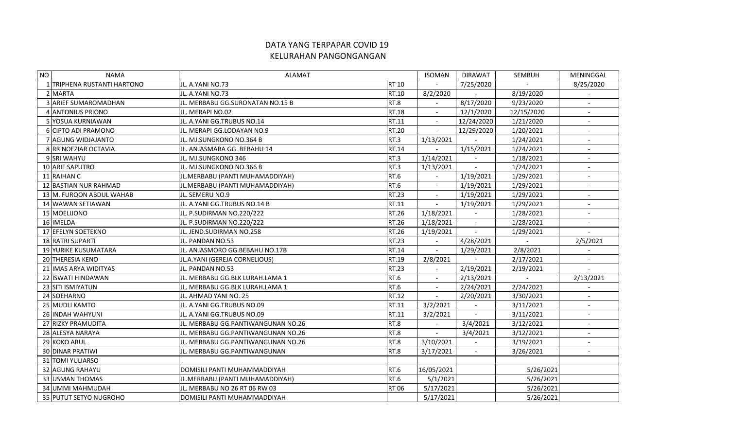## DATA YANG TERPAPAR COVID 19 KELURAHAN PANGONGANGAN

| NO | <b>NAMA</b>               | <b>ALAMAT</b>                       |              | <b>ISOMAN</b>            | <b>DIRAWAT</b>           | <b>SEMBUH</b> | MENINGGAL                |
|----|---------------------------|-------------------------------------|--------------|--------------------------|--------------------------|---------------|--------------------------|
|    | TRIPHENA RUSTANTI HARTONO | JL. A.YANI NO.73                    | <b>RT 10</b> |                          | 7/25/2020                |               | 8/25/2020                |
|    | 2 MARTA                   | JL. A.YANI NO.73                    | RT.10        | 8/2/2020                 | $\mathbf{r}$             | 8/19/2020     |                          |
|    | 3 ARIEF SUMAROMADHAN      | JL. MERBABU GG.SURONATAN NO.15 B    | RT.8         |                          | 8/17/2020                | 9/23/2020     |                          |
|    | 4 ANTONIUS PRIONO         | IJL. MERAPI NO.02                   | RT.18        | $\sim$                   | 12/1/2020                | 12/15/2020    | $\overline{\phantom{a}}$ |
|    | 5 YOSUA KURNIAWAN         | JL. A.YANI GG.TRUBUS NO.14          | RT.11        | $\overline{\phantom{a}}$ | 12/24/2020               | 1/21/2020     | $\overline{\phantom{a}}$ |
|    | 6 CIPTO ADI PRAMONO       | JL. MERAPI GG.LODAYAN NO.9          | <b>RT.20</b> | $\overline{a}$           | 12/29/2020               | 1/20/2021     | $\blacksquare$           |
|    | 7 AGUNG WIDJAJANTO        | JL. MJ.SUNGKONO NO.364 B            | RT.3         | 1/13/2021                |                          | 1/24/2021     | $\blacksquare$           |
|    | 8 RR NOEZIAR OCTAVIA      | JL. ANJASMARA GG. BEBAHU 14         | RT.14        | $\mathbb{L}$             | 1/15/2021                | 1/24/2021     | $\blacksquare$           |
|    | 9 SRI WAHYU               | JL. MJ.SUNGKONO 346                 | RT.3         | 1/14/2021                | $\overline{\phantom{a}}$ | 1/18/2021     |                          |
|    | 10 ARIF SAPUTRO           | JL. MJ.SUNGKONO NO.366 B            | RT.3         | 1/13/2021                | $\mathbb{L}^+$           | 1/24/2021     | $\overline{\phantom{a}}$ |
|    | 11 RAIHAN C               | JL.MERBABU (PANTI MUHAMADDIYAH)     | <b>RT.6</b>  |                          | 1/19/2021                | 1/29/2021     | $\overline{\phantom{a}}$ |
|    | 12 BASTIAN NUR RAHMAD     | JL.MERBABU (PANTI MUHAMADDIYAH)     | <b>RT.6</b>  |                          | 1/19/2021                | 1/29/2021     | $\overline{\phantom{a}}$ |
|    | 13 M. FURQON ABDUL WAHAB  | JL. SEMERU NO.9                     | RT.23        | $\overline{a}$           | 1/19/2021                | 1/29/2021     | $\overline{a}$           |
|    | 14 WAWAN SETIAWAN         | JL. A.YANI GG.TRUBUS NO.14 B        | RT.11        | $\overline{\phantom{a}}$ | 1/19/2021                | 1/29/2021     |                          |
|    | 15 MOELIJONO              | JL. P.SUDIRMAN NO.220/222           | RT.26        | 1/18/2021                |                          | 1/28/2021     | $\overline{\phantom{a}}$ |
|    | 16 IMELDA                 | JL. P.SUDIRMAN NO.220/222           | RT.26        | 1/18/2021                | $\sim$                   | 1/28/2021     | $\overline{\phantom{a}}$ |
|    | 17 EFELYN SOETEKNO        | JL. JEND.SUDIRMAN NO.258            | RT.26        | 1/19/2021                | $\overline{\phantom{a}}$ | 1/29/2021     | $\blacksquare$           |
|    | 18 RATRI SUPARTI          | JL. PANDAN NO.53                    | <b>RT.23</b> | $\blacksquare$           | 4/28/2021                | $\mathbf{r}$  | 2/5/2021                 |
|    | 19 YURIKE KUSUMATARA      | JL. ANJASMORO GG.BEBAHU NO.17B      | RT.14        | $\blacksquare$           | 1/29/2021                | 2/8/2021      |                          |
|    | 20 THERESIA KENO          | JL.A.YANI (GEREJA CORNELIOUS)       | RT.19        | 2/8/2021                 | $\mathbf{r}$             | 2/17/2021     | $\sim$                   |
|    | 21 IMAS ARYA WIDITYAS     | JL. PANDAN NO.53                    | RT.23        | $\mathbf{r}$             | 2/19/2021                | 2/19/2021     |                          |
|    | 22 ISWATI HINDAWAN        | JL. MERBABU GG.BLK LURAH.LAMA 1     | RT.6         | $\omega$                 | 2/13/2021                |               | 2/13/2021                |
|    | 23 SITI ISMIYATUN         | lJL. MERBABU GG.BLK LURAH.LAMA 1    | RT.6         | $\overline{a}$           | 2/24/2021                | 2/24/2021     |                          |
|    | 24 SOEHARNO               | JL. AHMAD YANI NO. 25               | RT.12        | $\overline{\phantom{a}}$ | 2/20/2021                | 3/30/2021     | $\overline{\phantom{a}}$ |
|    | 25 MUDLI KAMTO            | JL. A.YANI GG.TRUBUS NO.09          | RT.11        | 3/2/2021                 | $\overline{a}$           | 3/11/2021     | $\overline{a}$           |
|    | 26 INDAH WAHYUNI          | JL. A.YANI GG.TRUBUS NO.09          | RT.11        | 3/2/2021                 | $\blacksquare$           | 3/11/2021     |                          |
|    | 27 RIZKY PRAMUDITA        | JL. MERBABU GG.PANTIWANGUNAN NO.26  | RT.8         |                          | 3/4/2021                 | 3/12/2021     |                          |
|    | 28 ALESYA NARAYA          | IJL. MERBABU GG.PANTIWANGUNAN NO.26 | RT.8         | $\blacksquare$           | 3/4/2021                 | 3/12/2021     | $\overline{\phantom{a}}$ |
|    | 29 KOKO ARUL              | IJL. MERBABU GG.PANTIWANGUNAN NO.26 | RT.8         | 3/10/2021                | $\overline{\phantom{a}}$ | 3/19/2021     | $\overline{\phantom{a}}$ |
|    | <b>30 DINAR PRATIWI</b>   | lJL. MERBABU GG.PANTIWANGUNAN       | RT.8         | 3/17/2021                | $\sim$                   | 3/26/2021     | $\overline{\phantom{a}}$ |
|    | 31 TOMI YULIARSO          |                                     |              |                          |                          |               |                          |
|    | 32 AGUNG RAHAYU           | DOMISILI PANTI MUHAMMADDIYAH        | RT.6         | 16/05/2021               |                          | 5/26/2021     |                          |
|    | 33 USMAN THOMAS           | JL.MERBABU (PANTI MUHAMADDIYAH)     | <b>RT.6</b>  | 5/1/2021                 |                          | 5/26/2021     |                          |
|    | 34 UMMI MAHMUDAH          | JL. MERBABU NO 26 RT 06 RW 03       | <b>RT06</b>  | 5/17/2021                |                          | 5/26/2021     |                          |
|    | 35 PUTUT SETYO NUGROHO    | DOMISILI PANTI MUHAMMADDIYAH        |              | 5/17/2021                |                          | 5/26/2021     |                          |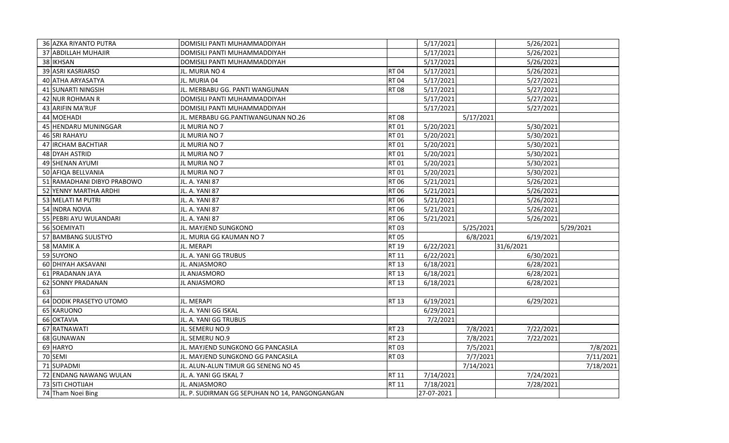|    | 36 AZKA RIYANTO PUTRA      | DOMISILI PANTI MUHAMMADDIYAH        |              | 5/17/2021 |           | 5/26/2021 |           |
|----|----------------------------|-------------------------------------|--------------|-----------|-----------|-----------|-----------|
|    | 37 ABDILLAH MUHAJIR        | DOMISILI PANTI MUHAMMADDIYAH        |              | 5/17/2021 |           | 5/26/2021 |           |
|    | 38 IKHSAN                  | DOMISILI PANTI MUHAMMADDIYAH        |              | 5/17/2021 |           | 5/26/2021 |           |
|    | 39 ASRI KASRIARSO          | JL. MURIA NO 4                      | <b>RT04</b>  | 5/17/2021 |           | 5/26/2021 |           |
|    | 40 ATHA ARYASATYA          | JL. MURIA 04                        | <b>RT04</b>  | 5/17/2021 |           | 5/27/2021 |           |
|    | 41 SUNARTI NINGSIH         | JL. MERBABU GG. PANTI WANGUNAN      | <b>RT08</b>  | 5/17/2021 |           | 5/27/2021 |           |
|    | 42 NUR ROHMAN R            | DOMISILI PANTI MUHAMMADDIYAH        |              | 5/17/2021 |           | 5/27/2021 |           |
|    | 43 ARIFIN MA'RUF           | DOMISILI PANTI MUHAMMADDIYAH        |              | 5/17/2021 |           | 5/27/2021 |           |
|    | 44 MOEHADI                 | JL. MERBABU GG.PANTIWANGUNAN NO.26  | RT 08        |           | 5/17/2021 |           |           |
|    | 45 HENDARU MUNINGGAR       | JL MURIA NO 7                       | RT 01        | 5/20/2021 |           | 5/30/2021 |           |
|    | <b>46 SRI RAHAYU</b>       | JL MURIA NO 7                       | RT 01        | 5/20/2021 |           | 5/30/2021 |           |
|    | 47 IRCHAM BACHTIAR         | JL MURIA NO 7                       | RT 01        | 5/20/2021 |           | 5/30/2021 |           |
|    | 48 DYAH ASTRID             | JL MURIA NO 7                       | RT 01        | 5/20/2021 |           | 5/30/2021 |           |
|    | 49 SHENAN AYUMI            | JL MURIA NO 7                       | RT 01        | 5/20/2021 |           | 5/30/2021 |           |
|    | 50 AFIQA BELLVANIA         | JL MURIA NO 7                       | RT 01        | 5/20/2021 |           | 5/30/2021 |           |
|    | 51 RAMADHANI DIBYO PRABOWO | JL. A. YANI 87                      | <b>RT06</b>  | 5/21/2021 |           | 5/26/2021 |           |
|    | 52 YENNY MARTHA ARDHI      | JL. A. YANI 87                      | <b>RT06</b>  | 5/21/2021 |           | 5/26/2021 |           |
|    | 53 MELATI M PUTRI          | JL. A. YANI 87                      | <b>RT06</b>  | 5/21/2021 |           | 5/26/2021 |           |
|    | 54 INDRA NOVIA             | JL. A. YANI 87                      | <b>RT06</b>  | 5/21/2021 |           | 5/26/2021 |           |
|    | 55 PEBRI AYU WULANDARI     | JL. A. YANI 87                      | <b>RT06</b>  | 5/21/2021 |           | 5/26/2021 |           |
|    | 56 SOEMIYATI               | JL. MAYJEND SUNGKONO                | <b>RT03</b>  |           | 5/25/2021 |           | 5/29/2021 |
|    | 57 BAMBANG SULISTYO        | JL. MURIA GG KAUMAN NO 7            | <b>RT05</b>  |           | 6/8/2021  | 6/19/2021 |           |
|    | 58 MAMIK A                 | JL. MERAPI                          | RT 19        | 6/22/2021 |           | 31/6/2021 |           |
|    | 59 SUYONO                  | JL. A. YANI GG TRUBUS               | RT 11        | 6/22/2021 |           | 6/30/2021 |           |
|    | 60 DHIYAH AKSAVANI         | JL. ANJASMORO                       | RT 13        | 6/18/2021 |           | 6/28/2021 |           |
|    | 61 PRADANAN JAYA           | JL ANJASMORO                        | <b>RT 13</b> | 6/18/2021 |           | 6/28/2021 |           |
|    | 62 SONNY PRADANAN          | <b>JL ANJASMORO</b>                 | <b>RT 13</b> | 6/18/2021 |           | 6/28/2021 |           |
| 63 |                            |                                     |              |           |           |           |           |
|    | 64 DODIK PRASETYO UTOMO    | JL. MERAPI                          | RT 13        | 6/19/2021 |           | 6/29/2021 |           |
|    | 65 KARUONO                 | JL. A. YANI GG ISKAL                |              | 6/29/2021 |           |           |           |
|    | 66 OKTAVIA                 | JL. A. YANI GG TRUBUS               |              | 7/2/2021  |           |           |           |
|    | 67 RATNAWATI               | JL. SEMERU NO.9                     | <b>RT 23</b> |           | 7/8/2021  | 7/22/2021 |           |
|    | 68 GUNAWAN                 | JL. SEMERU NO.9                     | <b>RT 23</b> |           | 7/8/2021  | 7/22/2021 |           |
|    | 69 HARYO                   | JL. MAYJEND SUNGKONO GG PANCASILA   | RT 03        |           | 7/5/2021  |           | 7/8/2021  |
|    | 70 SEMI                    | JL. MAYJEND SUNGKONO GG PANCASILA   | RT 03        |           | 7/7/2021  |           | 7/11/2021 |
|    | 71 SUPADMI                 | JL. ALUN-ALUN TIMUR GG SENENG NO 45 |              |           | 7/14/2021 |           | 7/18/2021 |
|    | 72 ENDANG NAWANG WULAN     | JL. A. YANI GG ISKAL 7              | <b>RT 11</b> | 7/14/2021 |           | 7/24/2021 |           |
|    |                            |                                     |              |           |           |           |           |
|    | 73 SITI CHOTIJAH           | JL. ANJASMORO                       | RT 11        | 7/18/2021 |           | 7/28/2021 |           |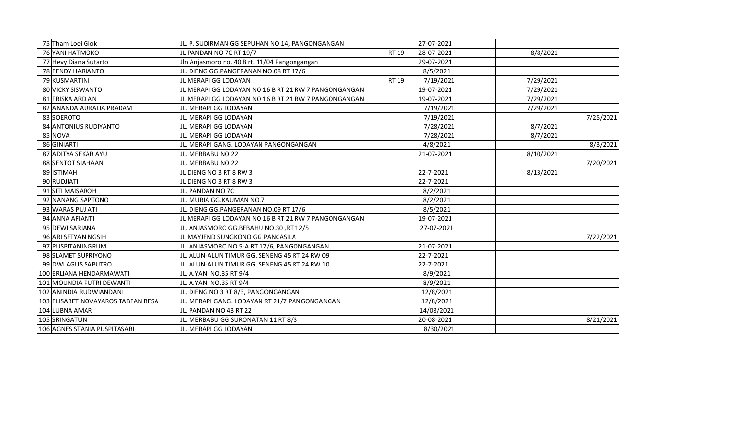| 75 Tham Loei Giok                  | JL. P. SUDIRMAN GG SEPUHAN NO 14, PANGONGANGAN       |              | 27-07-2021 |           |           |
|------------------------------------|------------------------------------------------------|--------------|------------|-----------|-----------|
| 76 YANI HATMOKO                    | JL PANDAN NO 7C RT 19/7                              | <b>RT 19</b> | 28-07-2021 | 8/8/2021  |           |
| 77 Hevy Diana Sutarto              | Jln Anjasmoro no. 40 B rt. 11/04 Pangongangan        |              | 29-07-2021 |           |           |
| 78 FENDY HARIANTO                  | JL. DIENG GG.PANGERANAN NO.08 RT 17/6                |              | 8/5/2021   |           |           |
| 79 KUSMARTINI                      | JL MERAPI GG LODAYAN                                 | <b>RT 19</b> | 7/19/2021  | 7/29/2021 |           |
| 80 VICKY SISWANTO                  | JL MERAPI GG LODAYAN NO 16 B RT 21 RW 7 PANGONGANGAN |              | 19-07-2021 | 7/29/2021 |           |
| 81 FRISKA ARDIAN                   | JL MERAPI GG LODAYAN NO 16 B RT 21 RW 7 PANGONGANGAN |              | 19-07-2021 | 7/29/2021 |           |
| 82 ANANDA AURALIA PRADAVI          | JL. MERAPI GG LODAYAN                                |              | 7/19/2021  | 7/29/2021 |           |
| 83 SOEROTO                         | JL. MERAPI GG LODAYAN                                |              | 7/19/2021  |           | 7/25/2021 |
| 84 ANTONIUS RUDIYANTO              | JL. MERAPI GG LODAYAN                                |              | 7/28/2021  | 8/7/2021  |           |
| 85 NOVA                            | JL. MERAPI GG LODAYAN                                |              | 7/28/2021  | 8/7/2021  |           |
| 86 GINIARTI                        | JL. MERAPI GANG. LODAYAN PANGONGANGAN                |              | 4/8/2021   |           | 8/3/2021  |
| 87 ADITYA SEKAR AYU                | JL. MERBABU NO 22                                    |              | 21-07-2021 | 8/10/2021 |           |
| 88 SENTOT SIAHAAN                  | JL. MERBABU NO 22                                    |              |            |           | 7/20/2021 |
| 89 ISTIMAH                         | JL DIENG NO 3 RT 8 RW 3                              |              | 22-7-2021  | 8/13/2021 |           |
| 90 RUDJIATI                        | JL DIENG NO 3 RT 8 RW 3                              |              | 22-7-2021  |           |           |
| 91 SITI MAISAROH                   | JL. PANDAN NO.7C                                     |              | 8/2/2021   |           |           |
| 92 NANANG SAPTONO                  | JL. MURIA GG.KAUMAN NO.7                             |              | 8/2/2021   |           |           |
| 93 WARAS PUJIATI                   | JL. DIENG GG.PANGERANAN NO.09 RT 17/6                |              | 8/5/2021   |           |           |
| 94 ANNA AFIANTI                    | JL MERAPI GG LODAYAN NO 16 B RT 21 RW 7 PANGONGANGAN |              | 19-07-2021 |           |           |
| 95 DEWI SARIANA                    | JL. ANJASMORO GG.BEBAHU NO.30, RT 12/5               |              | 27-07-2021 |           |           |
| 96 ARI SETYANINGSIH                | JL MAYJEND SUNGKONO GG PANCASILA                     |              |            |           | 7/22/2021 |
| 97 PUSPITANINGRUM                  | JL. ANJASMORO NO 5-A RT 17/6, PANGONGANGAN           |              | 21-07-2021 |           |           |
| 98 SLAMET SUPRIYONO                | JL. ALUN-ALUN TIMUR GG. SENENG 45 RT 24 RW 09        |              | 22-7-2021  |           |           |
| 99 DWI AGUS SAPUTRO                | JL. ALUN-ALUN TIMUR GG. SENENG 45 RT 24 RW 10        |              | 22-7-2021  |           |           |
| 100 ERLIANA HENDARMAWATI           | JL. A.YANI NO.35 RT 9/4                              |              | 8/9/2021   |           |           |
| 101 MOUNDIA PUTRI DEWANTI          | JL. A.YANI NO.35 RT 9/4                              |              | 8/9/2021   |           |           |
| 102 ANINDIA RUDWIANDANI            | JL. DIENG NO 3 RT 8/3, PANGONGANGAN                  |              | 12/8/2021  |           |           |
| 103 ELISABET NOVAYAROS TABEAN BESA | JL. MERAPI GANG. LODAYAN RT 21/7 PANGONGANGAN        |              | 12/8/2021  |           |           |
| 104 LUBNA AMAR                     | JL. PANDAN NO.43 RT 22                               |              | 14/08/2021 |           |           |
| 105 SRINGATUN                      | JL. MERBABU GG SURONATAN 11 RT 8/3                   |              | 20-08-2021 |           | 8/21/2021 |
| 106 AGNES STANIA PUSPITASARI       | JL. MERAPI GG LODAYAN                                |              | 8/30/2021  |           |           |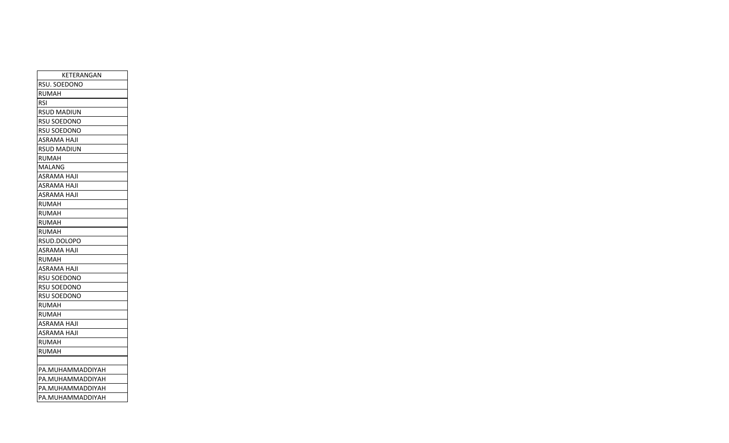| KETERANGAN         |
|--------------------|
| RSU. SOEDONO       |
| <b>RUMAH</b>       |
| <b>RSI</b>         |
| <b>RSUD MADIUN</b> |
| RSU SOEDONO        |
| <b>RSU SOEDONO</b> |
| <b>ASRAMA HAJI</b> |
| <b>RSUD MADIUN</b> |
| RUMAH              |
| MALANG             |
| <b>ASRAMA HAJI</b> |
| ASRAMA HAJI        |
| <b>ASRAMA HAJI</b> |
| <b>RUMAH</b>       |
| <b>RUMAH</b>       |
| <b>RUMAH</b>       |
| <b>RUMAH</b>       |
| RSUD.DOLOPO        |
| ASRAMA HAJI        |
| <b>RUMAH</b>       |
| ASRAMA HAJI        |
| <b>RSU SOEDONO</b> |
| <b>RSU SOEDONO</b> |
| <b>RSU SOEDONO</b> |
| <b>RUMAH</b>       |
| <b>RUMAH</b>       |
| <b>ASRAMA HAJI</b> |
| ASRAMA HAJI        |
| <b>RUMAH</b>       |
| <b>RUMAH</b>       |
|                    |
| PA.MUHAMMADDIYAH   |
| PA.MUHAMMADDIYAH   |
| PA.MUHAMMADDIYAH   |
| PA.MUHAMMADDIYAH   |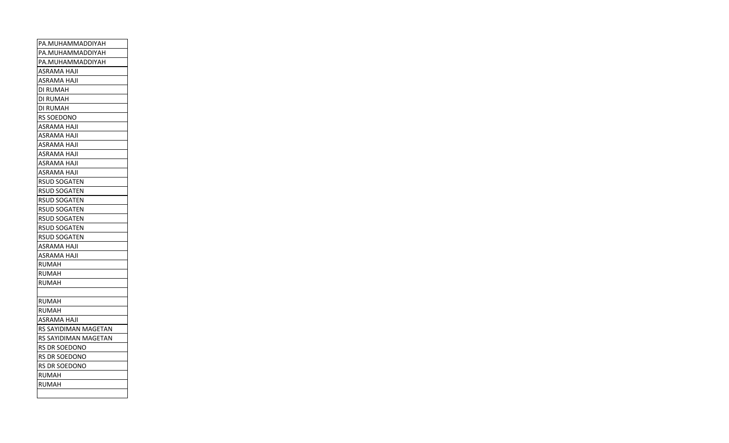| PA.MUHAMMADDIYAH     |
|----------------------|
| PA.MUHAMMADDIYAH     |
| PA.MUHAMMADDIYAH     |
| ASRAMA HAJI          |
| <b>ASRAMA HAJI</b>   |
| DI RUMAH             |
| DI RUMAH             |
| DI RUMAH             |
| RS SOEDONO           |
| <b>ASRAMA HAJI</b>   |
| ASRAMA HAJI          |
| ASRAMA HAJI          |
| <b>ASRAMA HAJI</b>   |
| ASRAMA HAJI          |
| ASRAMA HAJI          |
| RSUD SOGATEN         |
| <b>RSUD SOGATEN</b>  |
| <b>RSUD SOGATEN</b>  |
| <b>RSUD SOGATEN</b>  |
| <b>RSUD SOGATEN</b>  |
| <b>RSUD SOGATEN</b>  |
| <b>RSUD SOGATEN</b>  |
| ASRAMA HAJI          |
| ASRAMA HAJI          |
| RUMAH                |
| <b>RUMAH</b>         |
| RUMAH                |
|                      |
| <b>RUMAH</b>         |
| <b>RUMAH</b>         |
| ASRAMA HAJI          |
| RS SAYIDIMAN MAGETAN |
| RS SAYIDIMAN MAGETAN |
| RS DR SOEDONO        |
| RS DR SOEDONO        |
| RS DR SOEDONO        |
| <b>RUMAH</b>         |
| RUMAH                |
|                      |